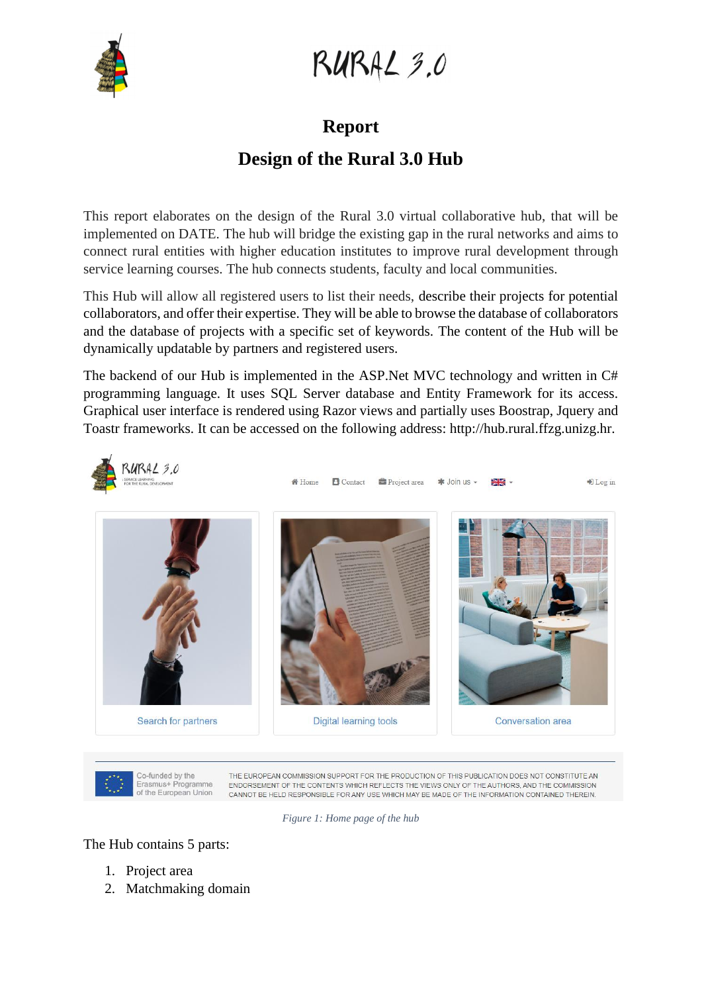

RURAL 3.0

#### **Report**

#### **Design of the Rural 3.0 Hub**

This report elaborates on the design of the Rural 3.0 virtual collaborative hub, that will be implemented on DATE. The hub will bridge the existing gap in the rural networks and aims to connect rural entities with higher education institutes to improve rural development through service learning courses. The hub connects students, faculty and local communities.

This Hub will allow all registered users to list their needs, describe their projects for potential collaborators, and offer their expertise. They will be able to browse the database of collaborators and the database of projects with a specific set of keywords. The content of the Hub will be dynamically updatable by partners and registered users.

The backend of our Hub is implemented in the ASP.Net MVC technology and written in C# programming language. It uses SQL Server database and Entity Framework for its access. Graphical user interface is rendered using Razor views and partially uses Boostrap, Jquery and Toastr frameworks. It can be accessed on the following address: http://hub.rural.ffzg.unizg.hr.



Co-funded by the Erasmus+ Programme of the European Union

THE EUROPEAN COMMISSION SUPPORT FOR THE PRODUCTION OF THIS PUBLICATION DOES NOT CONSTITUTE AN ENDORSEMENT OF THE CONTENTS WHICH REFLECTS THE VIEWS ONLY OF THE AUTHORS, AND THE COMMISSION CANNOT BE HELD RESPONSIBLE FOR ANY USE WHICH MAY BE MADE OF THE INFORMATION CONTAINED THEREIN.

*Figure 1: Home page of the hub*

The Hub contains 5 parts:

- 1. Project area
- 2. Matchmaking domain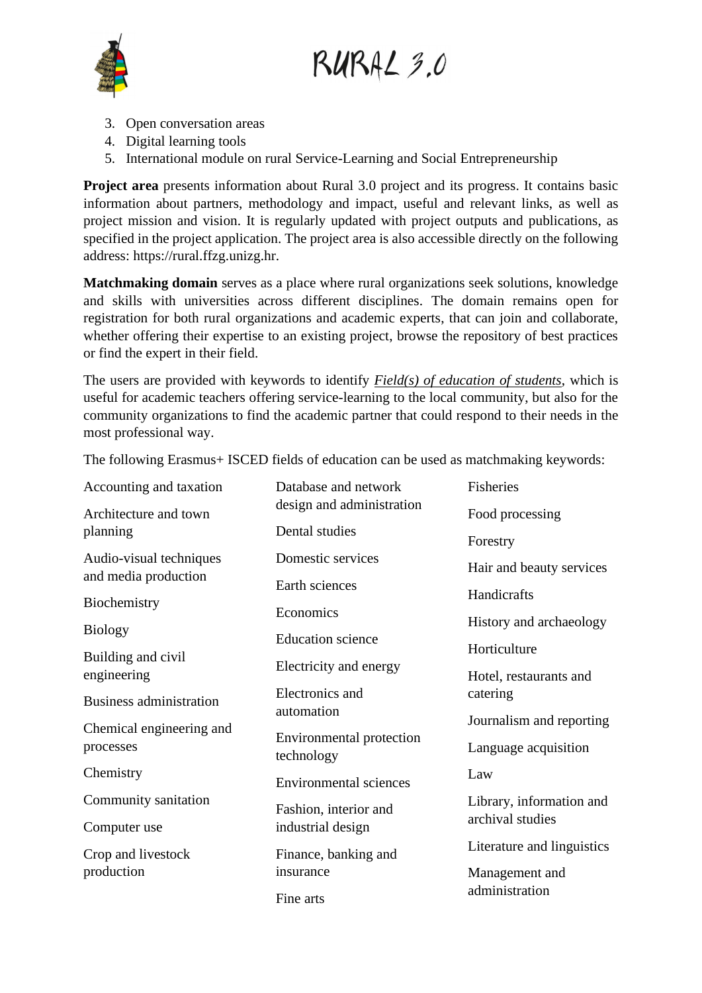RURAL 3.0



- 3. Open conversation areas
- 4. Digital learning tools
- 5. International module on rural Service-Learning and Social Entrepreneurship

**Project area** presents information about Rural 3.0 project and its progress. It contains basic information about partners, methodology and impact, useful and relevant links, as well as project mission and vision. It is regularly updated with project outputs and publications, as specified in the project application. The project area is also accessible directly on the following address: https://rural.ffzg.unizg.hr.

**Matchmaking domain** serves as a place where rural organizations seek solutions, knowledge and skills with universities across different disciplines. The domain remains open for registration for both rural organizations and academic experts, that can join and collaborate, whether offering their expertise to an existing project, browse the repository of best practices or find the expert in their field.

The users are provided with keywords to identify *Field(s) of education of students*, which is useful for academic teachers offering service-learning to the local community, but also for the community organizations to find the academic partner that could respond to their needs in the most professional way.

Accounting and taxation Architecture and town planning Audio-visual techniques and media production Biochemistry Biology Building and civil engineering Business administration Chemical engineering and processes **Chemistry** Community sanitation Computer use Crop and livestock production Database and network design and administration Dental studies Domestic services Earth sciences Economics Education science Electricity and energy Electronics and automation Environmental protection technology Environmental sciences Fashion, interior and industrial design Finance, banking and insurance Fine arts Fisheries Food processing Forestry Hair and beauty services **Handicrafts** History and archaeology Horticulture Hotel, restaurants and catering Journalism and reporting Language acquisition Law Library, information and archival studies Literature and linguistics Management and administration

The following Erasmus+ ISCED fields of education can be used as matchmaking keywords: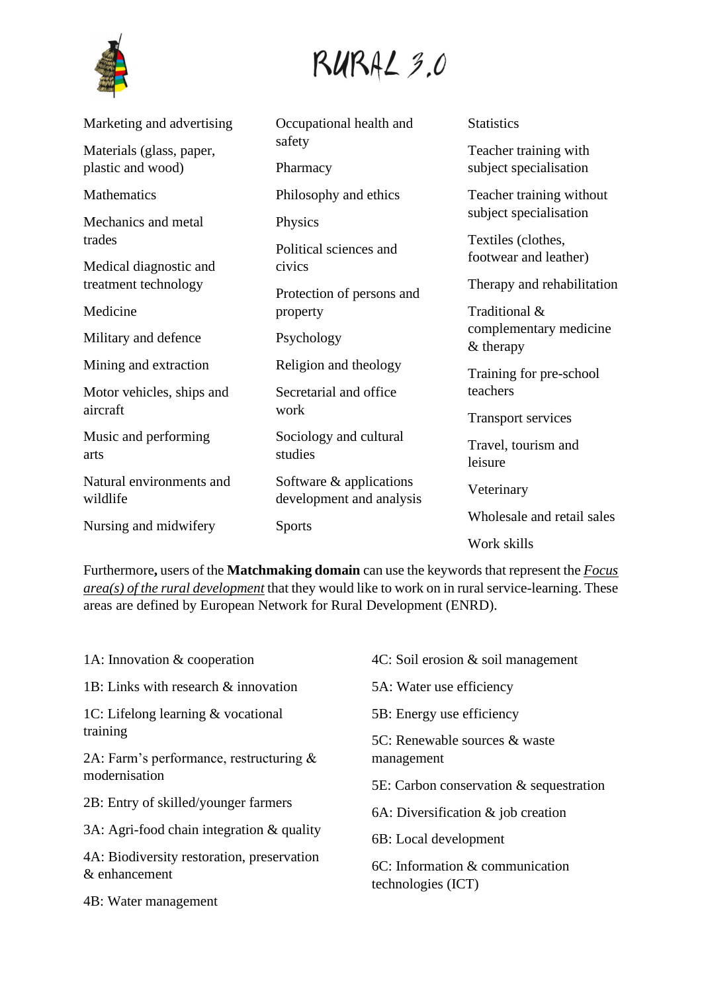

## RURAL 3.0

| Marketing and advertising                     | Occupational health and                             | <b>Statistics</b>                               |
|-----------------------------------------------|-----------------------------------------------------|-------------------------------------------------|
| Materials (glass, paper,<br>plastic and wood) | safety<br>Pharmacy                                  | Teacher training with<br>subject specialisation |
| Mathematics                                   | Philosophy and ethics                               | Teacher training without                        |
| Mechanics and metal                           | Physics                                             | subject specialisation                          |
| trades<br>Medical diagnostic and              | Political sciences and<br>civics                    | Textiles (clothes,<br>footwear and leather)     |
| treatment technology                          | Protection of persons and                           | Therapy and rehabilitation                      |
| Medicine                                      | property                                            | Traditional &                                   |
| Military and defence                          | Psychology                                          | complementary medicine<br>$&$ therapy           |
| Mining and extraction                         | Religion and theology                               | Training for pre-school                         |
| Motor vehicles, ships and                     | Secretarial and office                              | teachers                                        |
| aircraft                                      | work                                                | <b>Transport services</b>                       |
| Music and performing<br>arts                  | Sociology and cultural<br>studies                   | Travel, tourism and<br>leisure                  |
| Natural environments and<br>wildlife          | Software & applications<br>development and analysis | Veterinary                                      |
| Nursing and midwifery                         | <b>Sports</b>                                       | Wholesale and retail sales                      |
|                                               |                                                     | Work skills                                     |

Furthermore**,** users of the **Matchmaking domain** can use the keywords that represent the *Focus area(s) of the rural development* that they would like to work on in rural service-learning. These areas are defined by European Network for Rural Development (ENRD).

| 1A: Innovation $&$ cooperation                              | $4C$ : Soil erosion $\&$ soil management                 |  |
|-------------------------------------------------------------|----------------------------------------------------------|--|
| 1B: Links with research & innovation                        | 5A: Water use efficiency                                 |  |
| 1C: Lifelong learning $&$ vocational                        | 5B: Energy use efficiency                                |  |
| training<br>2A: Farm's performance, restructuring $\&$      | 5C: Renewable sources & waste<br>management              |  |
| modernisation                                               | 5E: Carbon conservation & sequestration                  |  |
| 2B: Entry of skilled/younger farmers                        | 6A: Diversification $&$ job creation                     |  |
| 3A: Agri-food chain integration $\&$ quality                | 6B: Local development                                    |  |
| 4A: Biodiversity restoration, preservation<br>& enhancement | $6C$ : Information & communication<br>technologies (ICT) |  |
| 4B: Water management                                        |                                                          |  |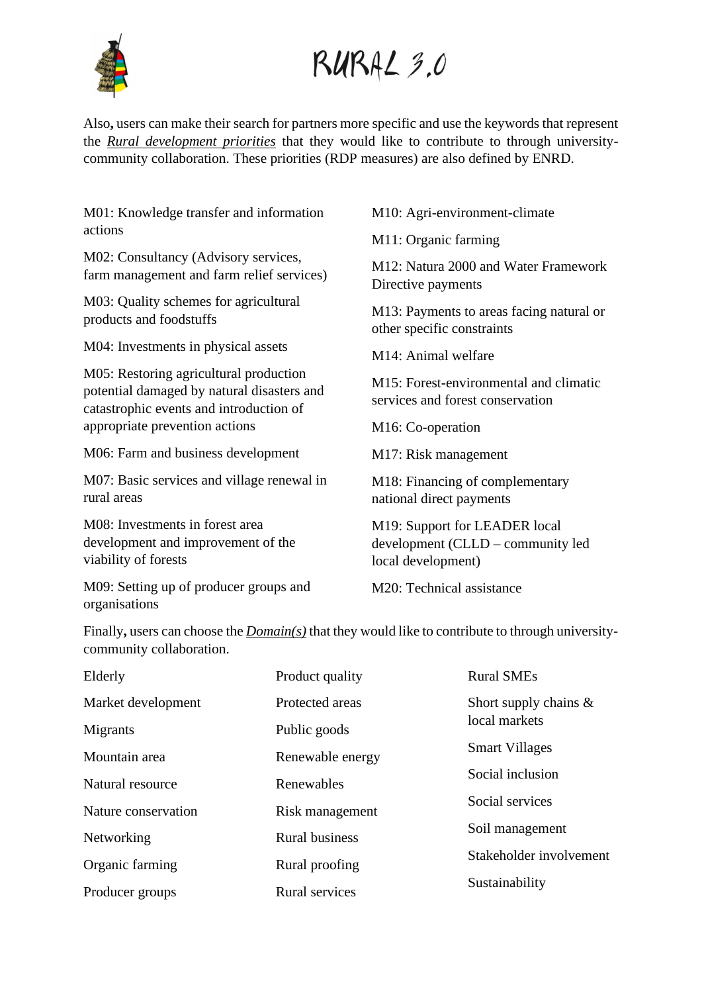

# RURAL 3.0

Also**,** users can make their search for partners more specific and use the keywords that represent the *Rural development priorities* that they would like to contribute to through universitycommunity collaboration. These priorities (RDP measures) are also defined by ENRD.

M01: Knowledge transfer and information actions M02: Consultancy (Advisory services, farm management and farm relief services) M03: Quality schemes for agricultural products and foodstuffs M04: Investments in physical assets M05: Restoring agricultural production potential damaged by natural disasters and catastrophic events and introduction of appropriate prevention actions M06: Farm and business development M07: Basic services and village renewal in rural areas M08: Investments in forest area development and improvement of the viability of forests M10: Agri-environment-climate M11: Organic farming M12: Natura 2000 and Water Framework Directive payments M13: Payments to areas facing natural or other specific constraints M14: Animal welfare M15: Forest-environmental and climatic services and forest conservation M16: Co-operation M17: Risk management M18: Financing of complementary national direct payments M19: Support for LEADER local development (CLLD – community led local development)

M09: Setting up of producer groups and organisations

M20: Technical assistance

Finally**,** users can choose the *Domain(s)* that they would like to contribute to through universitycommunity collaboration.

| Elderly             | Product quality       | <b>Rural SMEs</b>        |
|---------------------|-----------------------|--------------------------|
| Market development  | Protected areas       | Short supply chains $\&$ |
| Migrants            | Public goods          | local markets            |
| Mountain area       | Renewable energy      | <b>Smart Villages</b>    |
| Natural resource    | Renewables            | Social inclusion         |
| Nature conservation | Risk management       | Social services          |
| Networking          | <b>Rural business</b> | Soil management          |
| Organic farming     | Rural proofing        | Stakeholder involvement  |
| Producer groups     | <b>Rural services</b> | Sustainability           |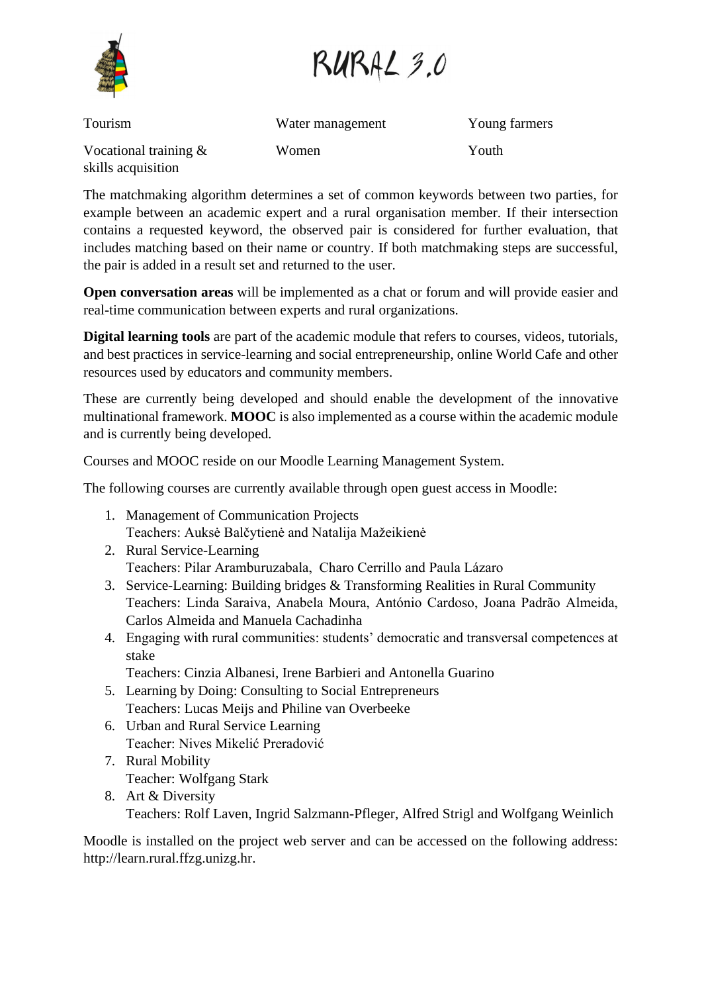RURAL 3.0

Tourism Vocational training & skills acquisition Water management Women Young farmers Youth

The matchmaking algorithm determines a set of common keywords between two parties, for example between an academic expert and a rural organisation member. If their intersection contains a requested keyword, the observed pair is considered for further evaluation, that includes matching based on their name or country. If both matchmaking steps are successful, the pair is added in a result set and returned to the user.

**Open conversation areas** will be implemented as a chat or forum and will provide easier and real-time communication between experts and rural organizations.

**Digital learning tools** are part of the academic module that refers to courses, videos, tutorials, and best practices in service-learning and social entrepreneurship, online World Cafe and other resources used by educators and community members.

These are currently being developed and should enable the development of the innovative multinational framework. **MOOC** is also implemented as a course within the academic module and is currently being developed.

Courses and MOOC reside on our Moodle Learning Management System.

The following courses are currently available through open guest access in Moodle:

- 1. Management of Communication Projects Teachers: Auksė Balčytienė and Natalija Mažeikienė
- 2. Rural Service-Learning Teachers: Pilar Aramburuzabala, Charo Cerrillo and Paula Lázaro
- 3. Service-Learning: Building bridges & Transforming Realities in Rural Community Teachers: Linda Saraiva, Anabela Moura, António Cardoso, Joana Padrão Almeida, Carlos Almeida and Manuela Cachadinha
- 4. Engaging with rural communities: students' democratic and transversal competences at stake

Teachers: Cinzia Albanesi, Irene Barbieri and Antonella Guarino

- 5. Learning by Doing: Consulting to Social Entrepreneurs Teachers: Lucas Meijs and Philine van Overbeeke
- 6. Urban and Rural Service Learning Teacher: Nives Mikelić Preradović
- 7. Rural Mobility Teacher: Wolfgang Stark
- 8. Art & Diversity Teachers: Rolf Laven, Ingrid Salzmann-Pfleger, Alfred Strigl and Wolfgang Weinlich

Moodle is installed on the project web server and can be accessed on the following address: http://learn.rural.ffzg.unizg.hr.